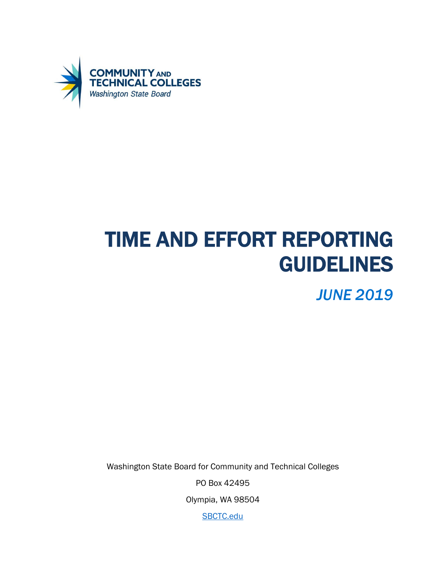

# TIME AND EFFORT REPORTING GUIDELINES

*JUNE 2019*

Washington State Board for Community and Technical Colleges

PO Box 42495

Olympia, WA 98504

[SBCTC.edu](https://www.sbctc.edu/)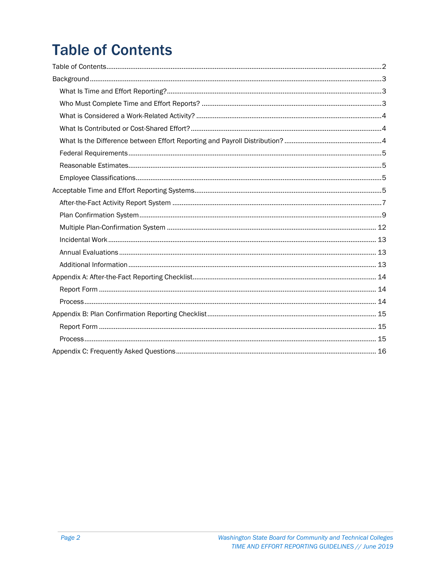## <span id="page-1-0"></span>**Table of Contents**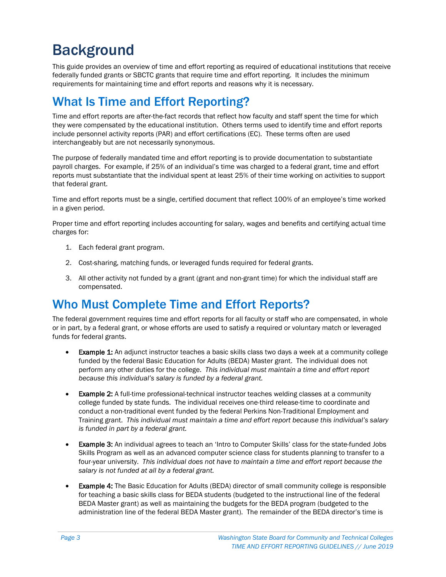## <span id="page-2-0"></span>**Background**

This guide provides an overview of time and effort reporting as required of educational institutions that receive federally funded grants or SBCTC grants that require time and effort reporting. It includes the minimum requirements for maintaining time and effort reports and reasons why it is necessary.

## <span id="page-2-1"></span>What Is Time and Effort Reporting?

Time and effort reports are after-the-fact records that reflect how faculty and staff spent the time for which they were compensated by the educational institution. Others terms used to identify time and effort reports include personnel activity reports (PAR) and effort certifications (EC). These terms often are used interchangeably but are not necessarily synonymous.

The purpose of federally mandated time and effort reporting is to provide documentation to substantiate payroll charges. For example, if 25% of an individual's time was charged to a federal grant, time and effort reports must substantiate that the individual spent at least 25% of their time working on activities to support that federal grant.

Time and effort reports must be a single, certified document that reflect 100% of an employee's time worked in a given period.

Proper time and effort reporting includes accounting for salary, wages and benefits and certifying actual time charges for:

- 1. Each federal grant program.
- 2. Cost-sharing, matching funds, or leveraged funds required for federal grants.
- 3. All other activity not funded by a grant (grant and non-grant time) for which the individual staff are compensated.

## <span id="page-2-2"></span>Who Must Complete Time and Effort Reports?

The federal government requires time and effort reports for all faculty or staff who are compensated, in whole or in part, by a federal grant, or whose efforts are used to satisfy a required or voluntary match or leveraged funds for federal grants.

- Example 1: An adjunct instructor teaches a basic skills class two days a week at a community college funded by the federal Basic Education for Adults (BEDA) Master grant. The individual does not perform any other duties for the college. *This individual must maintain a time and effort report because this individual's salary is funded by a federal grant.*
- Example 2: A full-time professional-technical instructor teaches welding classes at a community college funded by state funds. The individual receives one-third release-time to coordinate and conduct a non-traditional event funded by the federal Perkins Non-Traditional Employment and Training grant. *This individual must maintain a time and effort report because this individual's salary is funded in part by a federal grant.*
- **Example 3:** An individual agrees to teach an 'Intro to Computer Skills' class for the state-funded Jobs Skills Program as well as an advanced computer science class for students planning to transfer to a four-year university. *This individual does not have to maintain a time and effort report because the salary is not funded at all by a federal grant.*
- **Example 4:** The Basic Education for Adults (BEDA) director of small community college is responsible for teaching a basic skills class for BEDA students (budgeted to the instructional line of the federal BEDA Master grant) as well as maintaining the budgets for the BEDA program (budgeted to the administration line of the federal BEDA Master grant). The remainder of the BEDA director's time is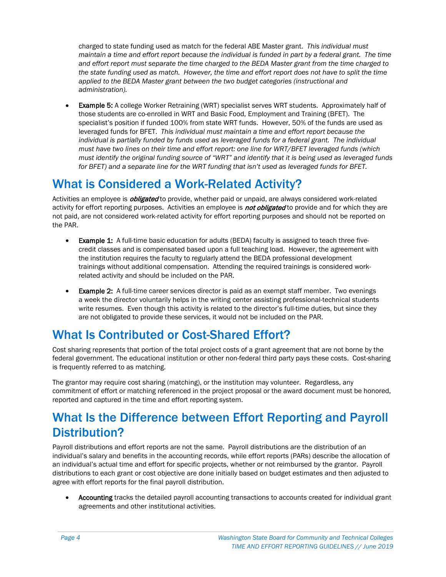charged to state funding used as match for the federal ABE Master grant. *This individual must maintain a time and effort report because the individual is funded in part by a federal grant. The time and effort report must separate the time charged to the BEDA Master grant from the time charged to the state funding used as match. However, the time and effort report does not have to split the time applied to the BEDA Master grant between the two budget categories (instructional and administration).* 

**Example 5:** A college Worker Retraining (WRT) specialist serves WRT students. Approximately half of those students are co-enrolled in WRT and Basic Food, Employment and Training (BFET). The specialist's position if funded 100% from state WRT funds. However, 50% of the funds are used as leveraged funds for BFET. *This individual must maintain a time and effort report because the individual is partially funded by funds used as leveraged funds for a federal grant. The individual must have two lines on their time and effort report: one line for WRT/BFET leveraged funds (which must identify the original funding source of "WRT" and identify that it is being used as leveraged funds for BFET) and a separate line for the WRT funding that isn't used as leveraged funds for BFET.*

## <span id="page-3-0"></span>What is Considered a Work-Related Activity?

Activities an employee is *obligated* to provide, whether paid or unpaid, are always considered work-related activity for effort reporting purposes. Activities an employee is **not obligated** to provide and for which they are not paid, are not considered work-related activity for effort reporting purposes and should not be reported on the PAR.

- Example 1: A full-time basic education for adults (BEDA) faculty is assigned to teach three fivecredit classes and is compensated based upon a full teaching load. However, the agreement with the institution requires the faculty to regularly attend the BEDA professional development trainings without additional compensation. Attending the required trainings is considered workrelated activity and should be included on the PAR.
- **Example 2:** A full-time career services director is paid as an exempt staff member. Two evenings a week the director voluntarily helps in the writing center assisting professional-technical students write resumes. Even though this activity is related to the director's full-time duties, but since they are not obligated to provide these services, it would not be included on the PAR.

## <span id="page-3-1"></span>What Is Contributed or Cost-Shared Effort?

Cost sharing represents that portion of the total project costs of a grant agreement that are not borne by the federal government. The educational institution or other non-federal third party pays these costs. Cost-sharing is frequently referred to as matching.

The grantor may require cost sharing (matching), or the institution may volunteer. Regardless, any commitment of effort or matching referenced in the project proposal or the award document must be honored, reported and captured in the time and effort reporting system.

## <span id="page-3-2"></span>What Is the Difference between Effort Reporting and Payroll Distribution?

Payroll distributions and effort reports are not the same. Payroll distributions are the distribution of an individual's salary and benefits in the accounting records, while effort reports (PARs) describe the allocation of an individual's actual time and effort for specific projects, whether or not reimbursed by the grantor. Payroll distributions to each grant or cost objective are done initially based on budget estimates and then adjusted to agree with effort reports for the final payroll distribution.

• Accounting tracks the detailed payroll accounting transactions to accounts created for individual grant agreements and other institutional activities.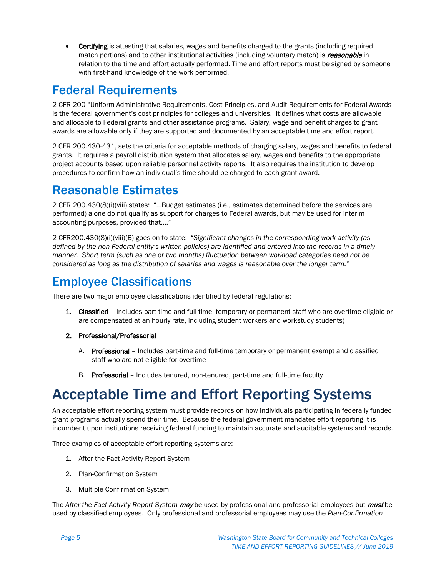• Certifying is attesting that salaries, wages and benefits charged to the grants (including required match portions) and to other institutional activities (including voluntary match) is *reasonable* in relation to the time and effort actually performed. Time and effort reports must be signed by someone with first-hand knowledge of the work performed.

## <span id="page-4-0"></span>Federal Requirements

2 CFR 200 "Uniform Administrative Requirements, Cost Principles, and Audit Requirements for Federal Awards is the federal government's cost principles for colleges and universities. It defines what costs are allowable and allocable to Federal grants and other assistance programs. Salary, wage and benefit charges to grant awards are allowable only if they are supported and documented by an acceptable time and effort report.

2 CFR 200.430-431, sets the criteria for acceptable methods of charging salary, wages and benefits to federal grants. It requires a payroll distribution system that allocates salary, wages and benefits to the appropriate project accounts based upon reliable personnel activity reports. It also requires the institution to develop procedures to confirm how an individual's time should be charged to each grant award.

## <span id="page-4-1"></span>Reasonable Estimates

2 CFR 200.430(8)(i)(viii) states: "…Budget estimates (i.e., estimates determined before the services are performed) alone do not qualify as support for charges to Federal awards, but may be used for interim accounting purposes, provided that…."

2 CFR200.430(8)(i)(viii)(B) goes on to state: "*Significant changes in the corresponding work activity (as defined by the non-Federal entity's written policies) are identified and entered into the records in a timely manner. Short term (such as one or two months) fluctuation between workload categories need not be considered as long as the distribution of salaries and wages is reasonable over the longer term."*

## <span id="page-4-2"></span>Employee Classifications

There are two major employee classifications identified by federal regulations:

- 1. Classified Includes part-time and full-time temporary or permanent staff who are overtime eligible or are compensated at an hourly rate, including student workers and workstudy students)
- 2. Professional/Professorial
	- A. Professional Includes part-time and full-time temporary or permanent exempt and classified staff who are not eligible for overtime
	- B. Professorial Includes tenured, non-tenured, part-time and full-time faculty

## <span id="page-4-3"></span>Acceptable Time and Effort Reporting Systems

An acceptable effort reporting system must provide records on how individuals participating in federally funded grant programs actually spend their time. Because the federal government mandates effort reporting it is incumbent upon institutions receiving federal funding to maintain accurate and auditable systems and records.

Three examples of acceptable effort reporting systems are:

- 1. After-the-Fact Activity Report System
- 2. Plan-Confirmation System
- 3. Multiple Confirmation System

The *After-the-Fact Activity Report System* may be used by professional and professorial employees but must be used by classified employees. Only professional and professorial employees may use the *Plan-Confirmation*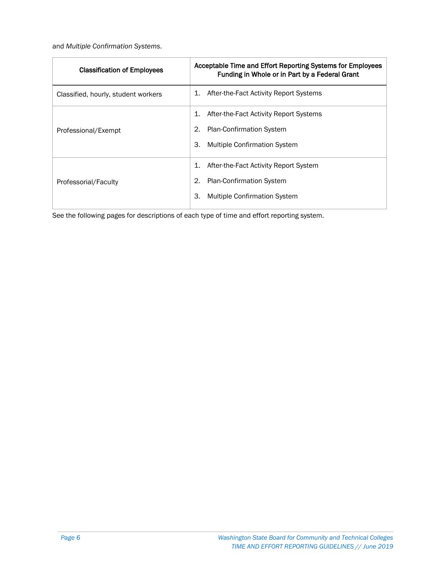and *Multiple Confirmation Systems*.

| <b>Classification of Employees</b>  | Acceptable Time and Effort Reporting Systems for Employees<br>Funding in Whole or in Part by a Federal Grant |
|-------------------------------------|--------------------------------------------------------------------------------------------------------------|
| Classified, hourly, student workers | After-the-Fact Activity Report Systems<br>1.                                                                 |
|                                     | 1.<br>After-the-Fact Activity Report Systems                                                                 |
| Professional/Exempt                 | 2.<br><b>Plan-Confirmation System</b>                                                                        |
|                                     | 3.<br><b>Multiple Confirmation System</b>                                                                    |
|                                     | 1.<br>After-the-Fact Activity Report System                                                                  |
| Professorial/Faculty                | 2.<br><b>Plan-Confirmation System</b>                                                                        |
|                                     | 3.<br><b>Multiple Confirmation System</b>                                                                    |

See the following pages for descriptions of each type of time and effort reporting system.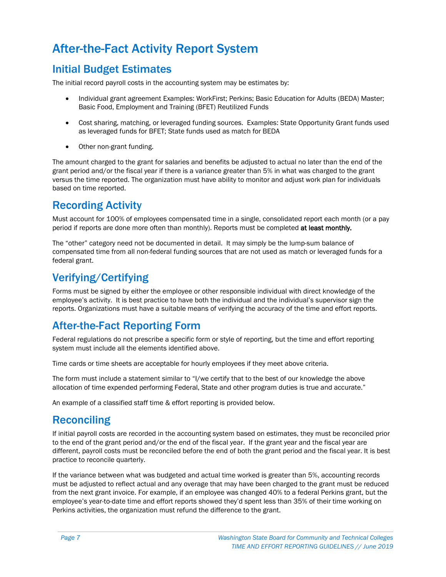## <span id="page-6-0"></span>After-the-Fact Activity Report System

#### Initial Budget Estimates

The initial record payroll costs in the accounting system may be estimates by:

- Individual grant agreement Examples: WorkFirst; Perkins; Basic Education for Adults (BEDA) Master; Basic Food, Employment and Training (BFET) Reutilized Funds
- Cost sharing, matching, or leveraged funding sources. Examples: State Opportunity Grant funds used as leveraged funds for BFET; State funds used as match for BEDA
- Other non-grant funding.

The amount charged to the grant for salaries and benefits be adjusted to actual no later than the end of the grant period and/or the fiscal year if there is a variance greater than 5% in what was charged to the grant versus the time reported. The organization must have ability to monitor and adjust work plan for individuals based on time reported.

#### Recording Activity

Must account for 100% of employees compensated time in a single, consolidated report each month (or a pay period if reports are done more often than monthly). Reports must be completed at least monthly.

The "other" category need not be documented in detail. It may simply be the lump-sum balance of compensated time from all non-federal funding sources that are not used as match or leveraged funds for a federal grant.

#### Verifying/Certifying

Forms must be signed by either the employee or other responsible individual with direct knowledge of the employee's activity. It is best practice to have both the individual and the individual's supervisor sign the reports. Organizations must have a suitable means of verifying the accuracy of the time and effort reports.

#### After-the-Fact Reporting Form

Federal regulations do not prescribe a specific form or style of reporting, but the time and effort reporting system must include all the elements identified above.

Time cards or time sheets are acceptable for hourly employees if they meet above criteria.

The form must include a statement similar to "I/we certify that to the best of our knowledge the above allocation of time expended performing Federal, State and other program duties is true and accurate."

An example of a classified staff time & effort reporting is provided below.

#### **Reconciling**

If initial payroll costs are recorded in the accounting system based on estimates, they must be reconciled prior to the end of the grant period and/or the end of the fiscal year. If the grant year and the fiscal year are different, payroll costs must be reconciled before the end of both the grant period and the fiscal year. It is best practice to reconcile quarterly.

If the variance between what was budgeted and actual time worked is greater than 5%, accounting records must be adjusted to reflect actual and any overage that may have been charged to the grant must be reduced from the next grant invoice. For example, if an employee was changed 40% to a federal Perkins grant, but the employee's year-to-date time and effort reports showed they'd spent less than 35% of their time working on Perkins activities, the organization must refund the difference to the grant.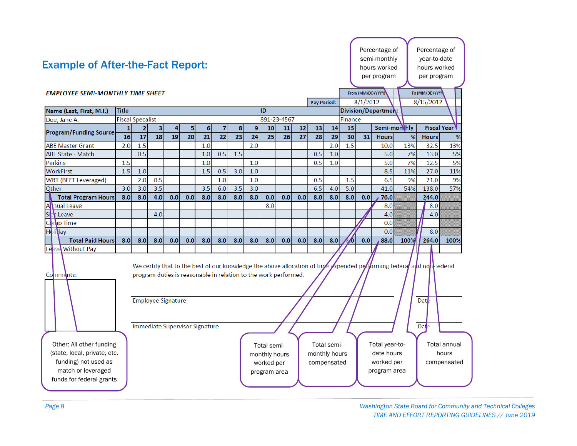|                                          |                         |                                                                    |     |     |     |     |     |     |     |             |     |     |                    |     |     |                   | Percentage of       |      | Percentage of                                                                                                  |      |  |
|------------------------------------------|-------------------------|--------------------------------------------------------------------|-----|-----|-----|-----|-----|-----|-----|-------------|-----|-----|--------------------|-----|-----|-------------------|---------------------|------|----------------------------------------------------------------------------------------------------------------|------|--|
|                                          |                         |                                                                    |     |     |     |     |     |     |     |             |     |     |                    |     |     |                   | semi-monthly        |      | year-to-date                                                                                                   |      |  |
| <b>Example of After-the-Fact Report:</b> |                         |                                                                    |     |     |     |     |     |     |     |             |     |     |                    |     |     |                   | hours worked        |      | hours worked                                                                                                   |      |  |
|                                          |                         |                                                                    |     |     |     |     |     |     |     |             |     |     |                    |     |     |                   | per program         |      | per program                                                                                                    |      |  |
|                                          |                         |                                                                    |     |     |     |     |     |     |     |             |     |     |                    |     |     |                   |                     |      |                                                                                                                |      |  |
| <b>EMPLOYEE SEMI-MONTHLY TIME SHEET</b>  |                         |                                                                    |     |     |     |     |     |     |     |             |     |     |                    |     |     | From (MM/DD/YYYY) |                     |      | To (MM/DD/YYYY                                                                                                 |      |  |
|                                          |                         |                                                                    |     |     |     |     |     |     |     |             |     |     | <b>Pay Period:</b> |     |     | 8/1/2012          |                     |      | 8/15/2012                                                                                                      |      |  |
| Name (Last, First, M.I.)                 | <b>Title</b>            |                                                                    |     |     |     |     |     |     |     | ID          |     |     |                    |     |     |                   | Division/Department |      |                                                                                                                |      |  |
| Doe, Jane A.                             | <b>Fiscal Specalist</b> |                                                                    |     |     |     |     |     |     |     | 891-23-4567 |     |     |                    |     |     | Finance           |                     |      |                                                                                                                |      |  |
| <b>Program/Funding Source</b>            | 1                       | 2                                                                  | 3   | 4   | 5   | 6   | 7   | 8   | 9   | 10          | 11  | 12  | 13                 | 14  | 15  |                   | Semi-monthly        |      | <b>Fiscal Year</b>                                                                                             |      |  |
|                                          | 16                      | 17                                                                 | 18  | 19  | 20  | 21  | 22  | 23  | 24  | 25          | 26  | 27  | 28                 | 29  | 30  | 31                | <b>Hours</b>        | %    | <b>Hours</b>                                                                                                   | %    |  |
| <b>ABE Master Grant</b>                  | 2.0                     | 1.5                                                                |     |     |     | 1.0 |     |     | 2.0 |             |     |     |                    | 2.0 | 1.5 |                   | 10.0                | 13%  | 32.5                                                                                                           | 13%  |  |
| <b>ABE State - Match</b>                 |                         | 0.5                                                                |     |     |     | 1.0 | 0.5 | 1.5 |     |             |     |     | 0.5                | 1.0 |     |                   | 5.0                 | 7%   | 13.0                                                                                                           | 5%   |  |
| <b>Perkins</b>                           | 1.5                     |                                                                    |     |     |     | 1.0 |     |     | 1.0 |             |     |     | 0.5                | 1.0 |     |                   | 5.0                 | 7%   | 12.5                                                                                                           | 5%   |  |
| <b>WorkFirst</b>                         | 1.5                     | 1.0                                                                |     |     |     | 1.5 | 0.5 | 3.0 | 1.0 |             |     |     |                    |     |     |                   | 8.5                 | 11%  | 27.0                                                                                                           | 11%  |  |
| <b>WRT (BFET Leveraged)</b>              |                         | 2.0                                                                | 0.5 |     |     |     | 1.0 |     | 1.0 |             |     |     | 0.5                |     | 1.5 |                   | 6.5                 | 9%   | 21.0                                                                                                           | 9%   |  |
| Other                                    | 3.0                     | 3.0                                                                | 3.5 |     |     | 3.5 | 6.0 | 3.5 | 3.0 |             |     |     | 6.5                | 4.0 | 5.0 |                   | 41.0                | 54%  | 138.0                                                                                                          | 57%  |  |
| <b>Total Program Hours</b>               | 8.0                     | 8.0                                                                | 4.0 | 0.0 | 0.0 | 8.0 | 8.0 | 8.0 | 8.0 | 0.0         | 0.0 | 0.0 | 8.0                | 8.0 | 8.0 | 0.0               | 76.0                |      | 244.0                                                                                                          |      |  |
| $\overline{A}$<br><b>Inual Leave</b>     |                         |                                                                    |     |     |     |     |     |     |     | 8.0         |     |     |                    |     |     |                   | 8.0                 |      | 8.0                                                                                                            |      |  |
| si<br><b>Leave</b>                       |                         |                                                                    | 4.0 |     |     |     |     |     |     |             |     |     |                    |     |     |                   | 4.0                 |      | 4.0                                                                                                            |      |  |
| Corp Time                                |                         |                                                                    |     |     |     |     |     |     |     |             |     |     |                    |     |     |                   | 0.0                 |      |                                                                                                                |      |  |
| <b>Holi</b> day                          |                         |                                                                    |     |     |     |     |     |     |     |             |     |     |                    |     |     |                   | 0.0                 |      | 8.0                                                                                                            |      |  |
| <b>Total Paid Hours</b>                  | 8.0                     | 8.0                                                                | 8.0 | 0.0 | 0.0 | 8.0 | 8.0 | 8.0 | 8.0 | 8.0         | 0.0 | 0.0 | 8.0                | 8.0 | Ø   | 0.0               | 88.0                | 100% | 264.0                                                                                                          | 100% |  |
| Leave Without Pay                        |                         |                                                                    |     |     |     |     |     |     |     |             |     |     |                    |     |     |                   |                     |      |                                                                                                                |      |  |
|                                          |                         |                                                                    |     |     |     |     |     |     |     |             |     |     |                    |     |     |                   |                     |      |                                                                                                                |      |  |
| Comments:                                |                         | program duties is reasonable in relation to the work performed.    |     |     |     |     |     |     |     |             |     |     |                    |     |     |                   |                     |      | We certify that to the best of our knowledge the above allocation of time expended performing federal and non- |      |  |
|                                          |                         | <b>Employee Signature</b><br><b>Immediate Supervisor Signature</b> |     |     |     |     |     |     |     |             |     |     |                    |     |     |                   |                     |      | Date<br>Date                                                                                                   |      |  |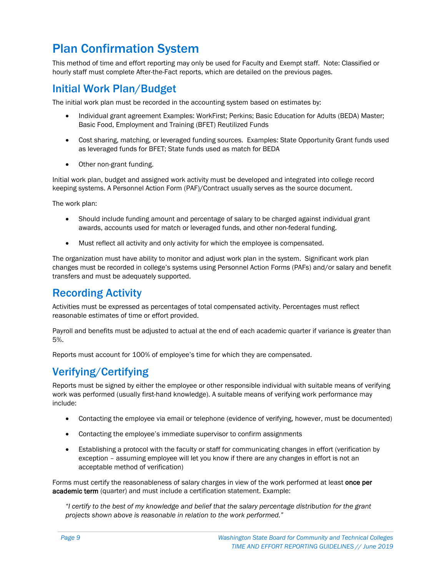## <span id="page-8-0"></span>Plan Confirmation System

This method of time and effort reporting may only be used for Faculty and Exempt staff. Note: Classified or hourly staff must complete After-the-Fact reports, which are detailed on the previous pages.

#### Initial Work Plan/Budget

The initial work plan must be recorded in the accounting system based on estimates by:

- Individual grant agreement Examples: WorkFirst; Perkins; Basic Education for Adults (BEDA) Master; Basic Food, Employment and Training (BFET) Reutilized Funds
- Cost sharing, matching, or leveraged funding sources. Examples: State Opportunity Grant funds used as leveraged funds for BFET; State funds used as match for BEDA
- Other non-grant funding.

Initial work plan, budget and assigned work activity must be developed and integrated into college record keeping systems. A Personnel Action Form (PAF)/Contract usually serves as the source document.

The work plan:

- Should include funding amount and percentage of salary to be charged against individual grant awards, accounts used for match or leveraged funds, and other non-federal funding.
- Must reflect all activity and only activity for which the employee is compensated.

The organization must have ability to monitor and adjust work plan in the system. Significant work plan changes must be recorded in college's systems using Personnel Action Forms (PAFs) and/or salary and benefit transfers and must be adequately supported.

#### Recording Activity

Activities must be expressed as percentages of total compensated activity. Percentages must reflect reasonable estimates of time or effort provided.

Payroll and benefits must be adjusted to actual at the end of each academic quarter if variance is greater than 5%.

Reports must account for 100% of employee's time for which they are compensated.

#### Verifying/Certifying

Reports must be signed by either the employee or other responsible individual with suitable means of verifying work was performed (usually first-hand knowledge). A suitable means of verifying work performance may include:

- Contacting the employee via email or telephone (evidence of verifying, however, must be documented)
- Contacting the employee's immediate supervisor to confirm assignments
- Establishing a protocol with the faculty or staff for communicating changes in effort (verification by exception – assuming employee will let you know if there are any changes in effort is not an acceptable method of verification)

Forms must certify the reasonableness of salary charges in view of the work performed at least once per academic term (quarter) and must include a certification statement. Example:

*"I certify to the best of my knowledge and belief that the salary percentage distribution for the grant projects shown above is reasonable in relation to the work performed."*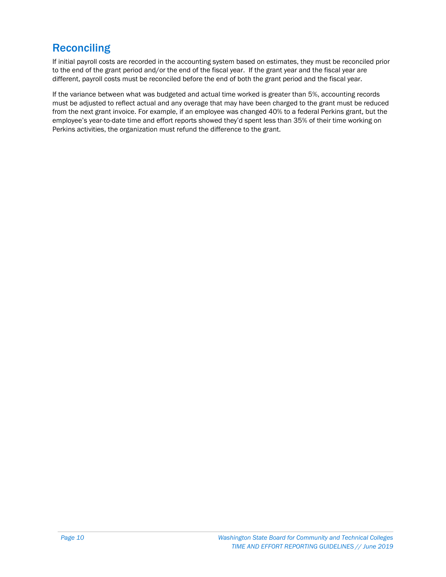#### **Reconciling**

If initial payroll costs are recorded in the accounting system based on estimates, they must be reconciled prior to the end of the grant period and/or the end of the fiscal year. If the grant year and the fiscal year are different, payroll costs must be reconciled before the end of both the grant period and the fiscal year.

If the variance between what was budgeted and actual time worked is greater than 5%, accounting records must be adjusted to reflect actual and any overage that may have been charged to the grant must be reduced from the next grant invoice. For example, if an employee was changed 40% to a federal Perkins grant, but the employee's year-to-date time and effort reports showed they'd spent less than 35% of their time working on Perkins activities, the organization must refund the difference to the grant.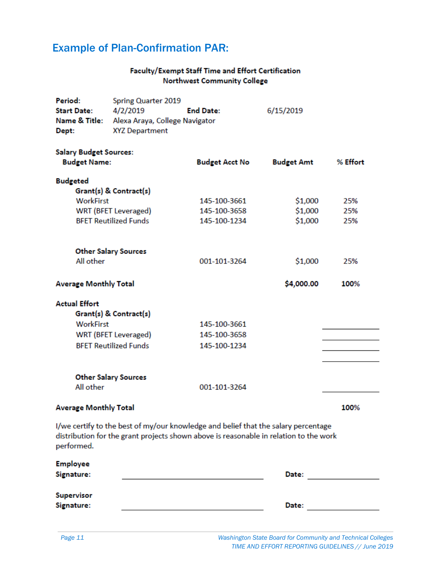### Example of Plan-Confirmation PAR:

#### Faculty/Exempt Staff Time and Effort Certification Northwest Community College

| Period:                        | <b>Spring Quarter 2019</b>                                  |                                                                                                                                                                             |                   |          |
|--------------------------------|-------------------------------------------------------------|-----------------------------------------------------------------------------------------------------------------------------------------------------------------------------|-------------------|----------|
| <b>Start Date:</b><br>4/2/2019 |                                                             | <b>End Date:</b>                                                                                                                                                            | 6/15/2019         |          |
| Name & Title:                  | Alexa Araya, College Navigator                              |                                                                                                                                                                             |                   |          |
| Dept:                          | <b>XYZ Department</b>                                       |                                                                                                                                                                             |                   |          |
| <b>Salary Budget Sources:</b>  |                                                             |                                                                                                                                                                             |                   |          |
| <b>Budget Name:</b>            |                                                             | <b>Budget Acct No</b>                                                                                                                                                       | <b>Budget Amt</b> | % Effort |
|                                |                                                             |                                                                                                                                                                             |                   |          |
| <b>Budgeted</b>                |                                                             |                                                                                                                                                                             |                   |          |
| <b>WorkFirst</b>               | Grant(s) & Contract(s)                                      | 145-100-3661                                                                                                                                                                | \$1,000           | 25%      |
|                                |                                                             | 145-100-3658                                                                                                                                                                |                   | 25%      |
|                                | <b>WRT (BFET Leveraged)</b><br><b>BFET Reutilized Funds</b> |                                                                                                                                                                             | \$1,000           |          |
|                                |                                                             | 145-100-1234                                                                                                                                                                | \$1,000           | 25%      |
|                                |                                                             |                                                                                                                                                                             |                   |          |
| All other                      | <b>Other Salary Sources</b>                                 | 001-101-3264                                                                                                                                                                | \$1,000           | 25%      |
|                                |                                                             |                                                                                                                                                                             |                   |          |
| <b>Average Monthly Total</b>   |                                                             |                                                                                                                                                                             | \$4,000.00        | 100%     |
| <b>Actual Effort</b>           |                                                             |                                                                                                                                                                             |                   |          |
|                                | Grant(s) & Contract(s)                                      |                                                                                                                                                                             |                   |          |
| <b>WorkFirst</b>               |                                                             | 145-100-3661                                                                                                                                                                |                   |          |
|                                | <b>WRT (BFET Leveraged)</b>                                 | 145-100-3658                                                                                                                                                                |                   |          |
|                                | <b>BFET Reutilized Funds</b>                                | 145-100-1234                                                                                                                                                                |                   |          |
|                                |                                                             |                                                                                                                                                                             |                   |          |
|                                | <b>Other Salary Sources</b>                                 |                                                                                                                                                                             |                   |          |
| All other                      |                                                             | 001-101-3264                                                                                                                                                                |                   |          |
| <b>Average Monthly Total</b>   |                                                             |                                                                                                                                                                             |                   | 100%     |
| performed.                     |                                                             | I/we certify to the best of my/our knowledge and belief that the salary percentage<br>distribution for the grant projects shown above is reasonable in relation to the work |                   |          |
| <b>Employee</b>                |                                                             |                                                                                                                                                                             |                   |          |
| Signature:                     |                                                             |                                                                                                                                                                             | Date:             |          |
| <b>Supervisor</b>              |                                                             |                                                                                                                                                                             |                   |          |

Date:

Signature: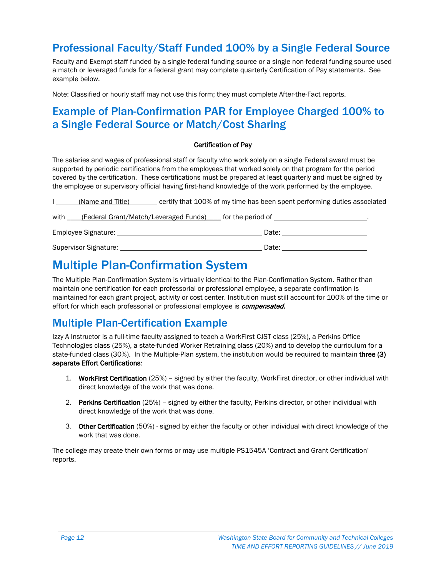#### Professional Faculty/Staff Funded 100% by a Single Federal Source

Faculty and Exempt staff funded by a single federal funding source or a single non-federal funding source used a match or leveraged funds for a federal grant may complete quarterly Certification of Pay statements. See example below.

Note: Classified or hourly staff may not use this form; they must complete After-the-Fact reports.

#### Example of Plan-Confirmation PAR for Employee Charged 100% to a Single Federal Source or Match/Cost Sharing

#### Certification of Pay

The salaries and wages of professional staff or faculty who work solely on a single Federal award must be supported by periodic certifications from the employees that worked solely on that program for the period covered by the certification. These certifications must be prepared at least quarterly and must be signed by the employee or supervisory official having first-hand knowledge of the work performed by the employee.

| (Name and Title) | certify that 100% of my time has been spent performing duties associated                                                                                                                                                       |
|------------------|--------------------------------------------------------------------------------------------------------------------------------------------------------------------------------------------------------------------------------|
|                  | with _____(Federal Grant/Match/Leveraged Funds) _____ for the period of ____________________________                                                                                                                           |
|                  | Date: the contract of the contract of the contract of the contract of the contract of the contract of the contract of the contract of the contract of the contract of the contract of the contract of the contract of the cont |
|                  | Date:                                                                                                                                                                                                                          |

## <span id="page-11-0"></span>Multiple Plan-Confirmation System

The Multiple Plan-Confirmation System is virtually identical to the Plan-Confirmation System. Rather than maintain one certification for each professorial or professional employee, a separate confirmation is maintained for each grant project, activity or cost center. Institution must still account for 100% of the time or effort for which each professorial or professional employee is *compensated.* 

#### Multiple Plan-Certification Example

Izzy A Instructor is a full-time faculty assigned to teach a WorkFirst CJST class (25%), a Perkins Office Technologies class (25%), a state-funded Worker Retraining class (20%) and to develop the curriculum for a state-funded class (30%). In the Multiple-Plan system, the institution would be required to maintain three (3) separate Effort Certifications:

- 1. WorkFirst Certification (25%) signed by either the faculty, WorkFirst director, or other individual with direct knowledge of the work that was done.
- 2. Perkins Certification (25%) signed by either the faculty, Perkins director, or other individual with direct knowledge of the work that was done.
- 3. Other Certification (50%) signed by either the faculty or other individual with direct knowledge of the work that was done.

The college may create their own forms or may use multiple PS1545A 'Contract and Grant Certification' reports.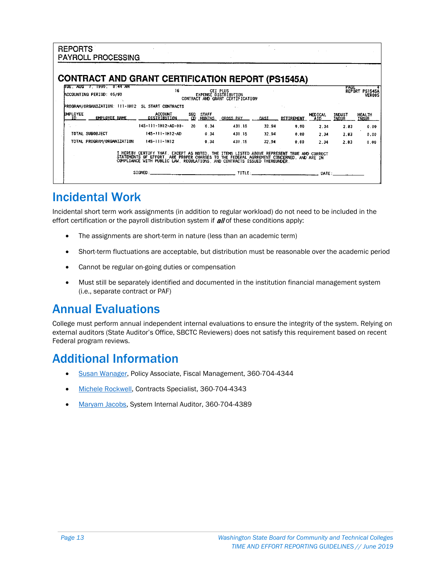| <b>REPORTS</b>         | <b>PAYROLL PROCESSING</b>                                |                                                                                                                                                                                                                                      |            |                        |                                                                             |             |                                                                                                                                                                                                                                |                       |                               |                                 |
|------------------------|----------------------------------------------------------|--------------------------------------------------------------------------------------------------------------------------------------------------------------------------------------------------------------------------------------|------------|------------------------|-----------------------------------------------------------------------------|-------------|--------------------------------------------------------------------------------------------------------------------------------------------------------------------------------------------------------------------------------|-----------------------|-------------------------------|---------------------------------|
|                        | <b>CONTRACT AND GRANT CERTIFICATION REPORT (PS1545A)</b> |                                                                                                                                                                                                                                      |            |                        |                                                                             |             |                                                                                                                                                                                                                                |                       |                               |                                 |
|                        | TUE. AUG 7. 1990. 8:44 AM<br>ACCOUNTING PERIOD: 05/90    | 16                                                                                                                                                                                                                                   |            |                        | CEI PLUS<br><b>EXPENSE DISTRIBUTION</b><br>CONTRACT AND GRANT CERTIFICATION |             |                                                                                                                                                                                                                                |                       | PAGE                          | REPORT PS1545A<br><b>VEROOS</b> |
|                        | PROGRAM/ORGANIZATION: 111-1H12 SL START CONTRACTS        |                                                                                                                                                                                                                                      |            |                        |                                                                             |             |                                                                                                                                                                                                                                |                       |                               |                                 |
| <b>EMPLOYEE</b><br>TD. | EMPLOYEE NAME                                            | <b>ACCOUNT</b><br>DISTRIBUTION                                                                                                                                                                                                       | SEQ.<br>m. | <b>STAFF</b><br>MONTHS | GROSS PAY                                                                   | <b>OASI</b> | RETIREMENT                                                                                                                                                                                                                     | <b>MEDICAL</b><br>AID | <b>INDUST</b><br><b>INSUR</b> | HEALTH<br><b>TNSUR</b>          |
|                        |                                                          | 145-111-1H12-AD-00-                                                                                                                                                                                                                  | 20         | 0.34                   | 431.15                                                                      | 32.94       | 0.00                                                                                                                                                                                                                           | 2.34                  | 2.83                          | 0.00                            |
|                        | TOTAL SUBOBJECT                                          | 145-111-1H12-AD                                                                                                                                                                                                                      |            | 0.34                   | 431.15                                                                      | 32.94       | 0.00                                                                                                                                                                                                                           | 2.34                  | 2.83                          | 0.00                            |
|                        | TOTAL PROGRAM/ORGANIZATION                               | $145 - 111 - 1112$                                                                                                                                                                                                                   |            | 0.34                   | 431.15                                                                      | 32.94       | 0.00                                                                                                                                                                                                                           | 2.34                  | 2.83                          | 0.00                            |
|                        |                                                          | I HEREBY CERTIFY THAT. EXCEPT AS NOTED. THE ITEMS LISTED ABOVE REPRESENT TRUE AND CORRECT<br>STATEMENTS OF EFFORT, ARE PROPER CHARGES TO THE FEDERAL AGRREMENT CONCERNED, AND ARE IN<br>COMPLIANCE WITH PUBLIC LAW, REGULATIONS, AND |            |                        |                                                                             |             | TITLE: And the state of the state of the state of the state of the state of the state of the state of the state of the state of the state of the state of the state of the state of the state of the state of the state of the | DATE:                 |                               |                                 |

### <span id="page-12-0"></span>Incidental Work

Incidental short term work assignments (in addition to regular workload) do not need to be included in the effort certification or the payroll distribution system if *all* of these conditions apply:

- The assignments are short-term in nature (less than an academic term)
- Short-term fluctuations are acceptable, but distribution must be reasonable over the academic period
- Cannot be regular on-going duties or compensation
- Must still be separately identified and documented in the institution financial management system (i.e., separate contract or PAF)

### <span id="page-12-1"></span>Annual Evaluations

College must perform annual independent internal evaluations to ensure the integrity of the system. Relying on external auditors (State Auditor's Office, SBCTC Reviewers) does not satisfy this requirement based on recent Federal program reviews.

## <span id="page-12-2"></span>Additional Information

- [Susan Wanager,](mailto:swanager@sbctc.edu) Policy Associate, Fiscal Management, 360-704-4344
- [Michele Rockwell,](mailto:mrockwell@sbctc.edu) Contracts Specialist, 360-704-4343
- [Maryam Jacobs,](mailto:mjacobs@sbctc.edu) System Internal Auditor, 360-704-4389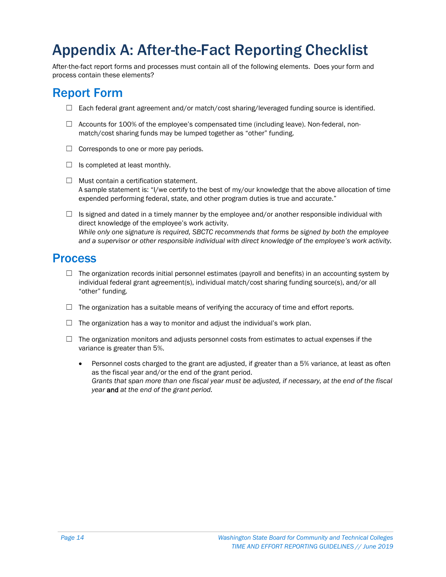## <span id="page-13-0"></span>Appendix A: After-the-Fact Reporting Checklist

After-the-fact report forms and processes must contain all of the following elements. Does your form and process contain these elements?

## <span id="page-13-1"></span>Report Form

- $\Box$  Each federal grant agreement and/or match/cost sharing/leveraged funding source is identified.
- ☐ Accounts for 100% of the employee's compensated time (including leave). Non-federal, nonmatch/cost sharing funds may be lumped together as "other" funding.
- $\Box$  Corresponds to one or more pay periods.
- $\Box$  Is completed at least monthly.
- $\Box$  Must contain a certification statement. A sample statement is: "I/we certify to the best of my/our knowledge that the above allocation of time expended performing federal, state, and other program duties is true and accurate."
- $\Box$  Is signed and dated in a timely manner by the employee and/or another responsible individual with direct knowledge of the employee's work activity. *While only one signature is required, SBCTC recommends that forms be signed by both the employee and a supervisor or other responsible individual with direct knowledge of the employee's work activity.*

#### <span id="page-13-2"></span>Process

- $\Box$  The organization records initial personnel estimates (payroll and benefits) in an accounting system by individual federal grant agreement(s), individual match/cost sharing funding source(s), and/or all "other" funding.
- $\Box$  The organization has a suitable means of verifying the accuracy of time and effort reports.
- $\Box$  The organization has a way to monitor and adjust the individual's work plan.
- $\Box$  The organization monitors and adjusts personnel costs from estimates to actual expenses if the variance is greater than 5%.
	- Personnel costs charged to the grant are adjusted, if greater than a 5% variance, at least as often as the fiscal year and/or the end of the grant period. *Grants that span more than one fiscal year must be adjusted, if necessary, at the end of the fiscal year* and *at the end of the grant period.*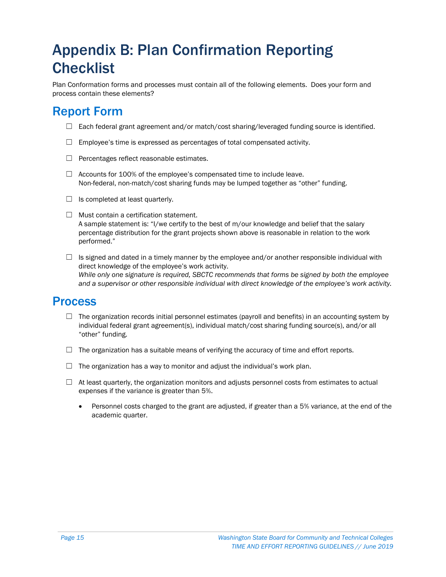## <span id="page-14-0"></span>Appendix B: Plan Confirmation Reporting **Checklist**

Plan Conformation forms and processes must contain all of the following elements. Does your form and process contain these elements?

## <span id="page-14-1"></span>Report Form

- $\Box$  Each federal grant agreement and/or match/cost sharing/leveraged funding source is identified.
- $\Box$  Employee's time is expressed as percentages of total compensated activity.
- ☐ Percentages reflect reasonable estimates.
- $\Box$  Accounts for 100% of the employee's compensated time to include leave. Non-federal, non-match/cost sharing funds may be lumped together as "other" funding.
- $\Box$  Is completed at least quarterly.
- $\Box$  Must contain a certification statement. A sample statement is: "I/we certify to the best of m/our knowledge and belief that the salary percentage distribution for the grant projects shown above is reasonable in relation to the work performed."
- $\Box$  Is signed and dated in a timely manner by the employee and/or another responsible individual with direct knowledge of the employee's work activity. *While only one signature is required, SBCTC recommends that forms be signed by both the employee and a supervisor or other responsible individual with direct knowledge of the employee's work activity.*

#### <span id="page-14-2"></span>Process

- $\Box$  The organization records initial personnel estimates (payroll and benefits) in an accounting system by individual federal grant agreement(s), individual match/cost sharing funding source(s), and/or all "other" funding.
- $\Box$  The organization has a suitable means of verifying the accuracy of time and effort reports.
- $\Box$  The organization has a way to monitor and adjust the individual's work plan.
- $\Box$  At least quarterly, the organization monitors and adjusts personnel costs from estimates to actual expenses if the variance is greater than 5%.
	- Personnel costs charged to the grant are adjusted, if greater than a 5% variance, at the end of the academic quarter.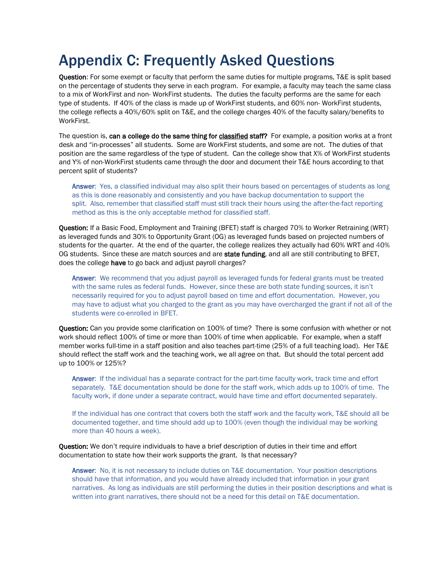## <span id="page-15-0"></span>Appendix C: Frequently Asked Questions

Question: For some exempt or faculty that perform the same duties for multiple programs, T&E is split based on the percentage of students they serve in each program. For example, a faculty may teach the same class to a mix of WorkFirst and non- WorkFirst students. The duties the faculty performs are the same for each type of students. If 40% of the class is made up of WorkFirst students, and 60% non- WorkFirst students, the college reflects a 40%/60% split on T&E, and the college charges 40% of the faculty salary/benefits to WorkFirst.

The question is, can a college do the same thing for classified staff? For example, a position works at a front desk and "in-processes" all students. Some are WorkFirst students, and some are not. The duties of that position are the same regardless of the type of student. Can the college show that X% of WorkFirst students and Y% of non-WorkFirst students came through the door and document their T&E hours according to that percent split of students?

Answer: Yes, a classified individual may also split their hours based on percentages of students as long as this is done reasonably and consistently and you have backup documentation to support the split. Also, remember that classified staff must still track their hours using the after-the-fact reporting method as this is the only acceptable method for classified staff.

Question: If a Basic Food, Employment and Training (BFET) staff is charged 70% to Worker Retraining (WRT) as leveraged funds and 30% to Opportunity Grant (OG) as leveraged funds based on projected numbers of students for the quarter. At the end of the quarter, the college realizes they actually had 60% WRT and 40% OG students. Since these are match sources and are state funding, and all are still contributing to BFET, does the college have to go back and adjust payroll charges?

Answer: We recommend that you adjust payroll as leveraged funds for federal grants must be treated with the same rules as federal funds. However, since these are both state funding sources, it isn't necessarily required for you to adjust payroll based on time and effort documentation. However, you may have to adjust what you charged to the grant as you may have overcharged the grant if not all of the students were co-enrolled in BFET.

Question: Can you provide some clarification on 100% of time? There is some confusion with whether or not work should reflect 100% of time or more than 100% of time when applicable. For example, when a staff member works full-time in a staff position and also teaches part-time (25% of a full teaching load). Her T&E should reflect the staff work and the teaching work, we all agree on that. But should the total percent add up to 100% or 125%?

Answer: If the individual has a separate contract for the part-time faculty work, track time and effort separately. T&E documentation should be done for the staff work, which adds up to 100% of time. The faculty work, if done under a separate contract, would have time and effort documented separately.

If the individual has one contract that covers both the staff work and the faculty work, T&E should all be documented together, and time should add up to 100% (even though the individual may be working more than 40 hours a week).

Question: We don't require individuals to have a brief description of duties in their time and effort documentation to state how their work supports the grant. Is that necessary?

Answer: No, it is not necessary to include duties on T&E documentation. Your position descriptions should have that information, and you would have already included that information in your grant narratives. As long as individuals are still performing the duties in their position descriptions and what is written into grant narratives, there should not be a need for this detail on T&E documentation.